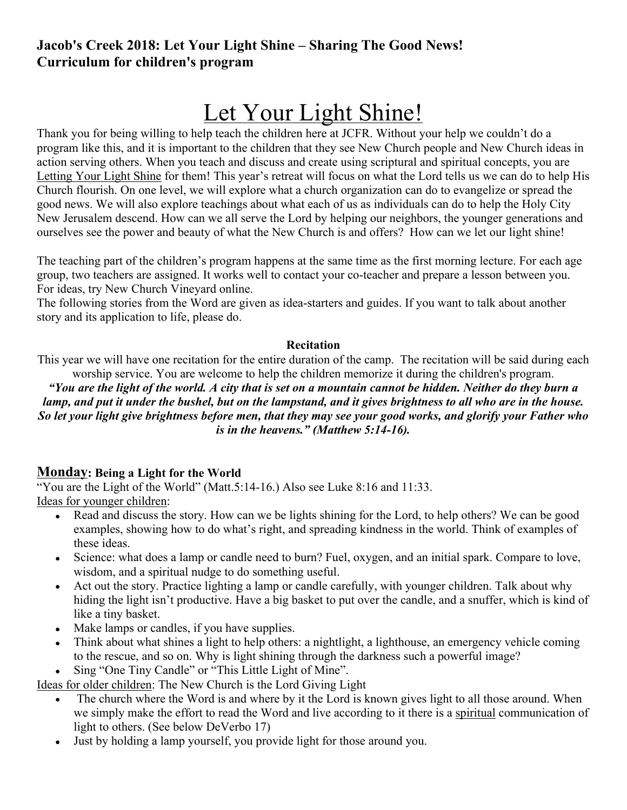## **Jacob's Creek 2018: Let Your Light Shine – Sharing The Good News! Curriculum for children's program**

# Let Your Light Shine!

Thank you for being willing to help teach the children here at JCFR. Without your help we couldn't do a program like this, and it is important to the children that they see New Church people and New Church ideas in action serving others. When you teach and discuss and create using scriptural and spiritual concepts, you are Letting Your Light Shine for them! This year's retreat will focus on what the Lord tells us we can do to help His Church flourish. On one level, we will explore what a church organization can do to evangelize or spread the good news. We will also explore teachings about what each of us as individuals can do to help the Holy City New Jerusalem descend. How can we all serve the Lord by helping our neighbors, the younger generations and ourselves see the power and beauty of what the New Church is and offers? How can we let our light shine!

The teaching part of the children's program happens at the same time as the first morning lecture. For each age group, two teachers are assigned. It works well to contact your co-teacher and prepare a lesson between you. For ideas, try New Church Vineyard online.

The following stories from the Word are given as idea-starters and guides. If you want to talk about another story and its application to life, please do.

#### **Recitation**

This year we will have one recitation for the entire duration of the camp. The recitation will be said during each worship service. You are welcome to help the children memorize it during the children's program.

*"You are the light of the world. A city that is set on a mountain cannot be hidden. Neither do they burn a lamp, and put it under the bushel, but on the lampstand, and it gives brightness to all who are in the house. So let your light give brightness before men, that they may see your good works, and glorify your Father who is in the heavens." (Matthew 5:14-16).*

#### **Monday: Being a Light for the World**

"You are the Light of the World" (Matt.5:14-16.) Also see Luke 8:16 and 11:33. Ideas for younger children:

- Read and discuss the story. How can we be lights shining for the Lord, to help others? We can be good examples, showing how to do what's right, and spreading kindness in the world. Think of examples of these ideas.
- Science: what does a lamp or candle need to burn? Fuel, oxygen, and an initial spark. Compare to love, wisdom, and a spiritual nudge to do something useful.
- Act out the story. Practice lighting a lamp or candle carefully, with younger children. Talk about why hiding the light isn't productive. Have a big basket to put over the candle, and a snuffer, which is kind of like a tiny basket.
- Make lamps or candles, if you have supplies.
- Think about what shines a light to help others: a nightlight, a lighthouse, an emergency vehicle coming to the rescue, and so on. Why is light shining through the darkness such a powerful image?
- Sing "One Tiny Candle" or "This Little Light of Mine".

Ideas for older children: The New Church is the Lord Giving Light

- The church where the Word is and where by it the Lord is known gives light to all those around. When we simply make the effort to read the Word and live according to it there is a spiritual communication of light to others. (See below DeVerbo 17)
- Just by holding a lamp yourself, you provide light for those around you.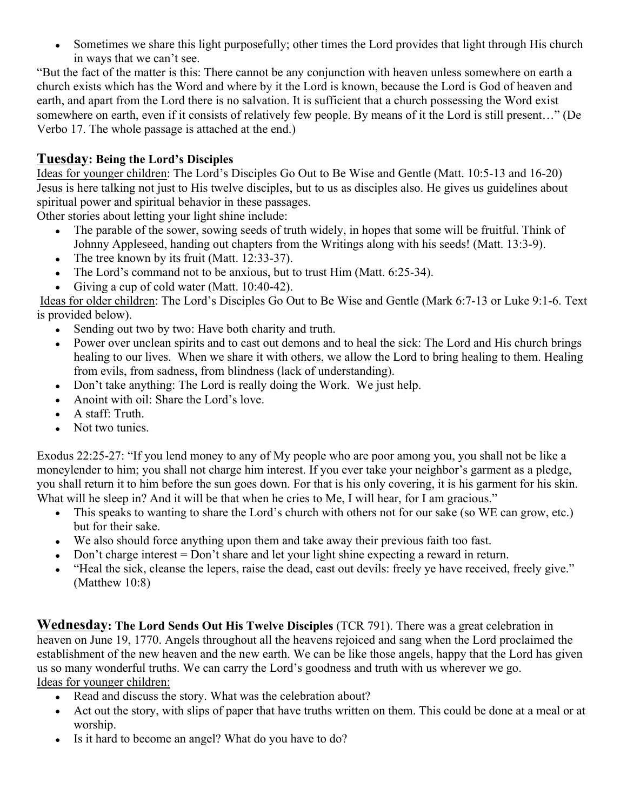Sometimes we share this light purposefully; other times the Lord provides that light through His church in ways that we can't see.

"But the fact of the matter is this: There cannot be any conjunction with heaven unless somewhere on earth a church exists which has the Word and where by it the Lord is known, because the Lord is God of heaven and earth, and apart from the Lord there is no salvation. It is sufficient that a church possessing the Word exist somewhere on earth, even if it consists of relatively few people. By means of it the Lord is still present…" (De Verbo 17. The whole passage is attached at the end.)

### **Tuesday: Being the Lord's Disciples**

Ideas for younger children: The Lord's Disciples Go Out to Be Wise and Gentle (Matt. 10:5-13 and 16-20) Jesus is here talking not just to His twelve disciples, but to us as disciples also. He gives us guidelines about spiritual power and spiritual behavior in these passages.

Other stories about letting your light shine include:

- The parable of the sower, sowing seeds of truth widely, in hopes that some will be fruitful. Think of Johnny Appleseed, handing out chapters from the Writings along with his seeds! (Matt. 13:3-9).
- The tree known by its fruit (Matt. 12:33-37).
- The Lord's command not to be anxious, but to trust Him (Matt. 6:25-34).
- Giving a cup of cold water (Matt. 10:40-42).

Ideas for older children: The Lord's Disciples Go Out to Be Wise and Gentle (Mark 6:7-13 or Luke 9:1-6. Text is provided below).

- Sending out two by two: Have both charity and truth.
- Power over unclean spirits and to cast out demons and to heal the sick: The Lord and His church brings healing to our lives. When we share it with others, we allow the Lord to bring healing to them. Healing from evils, from sadness, from blindness (lack of understanding).
- Don't take anything: The Lord is really doing the Work. We just help.
- Anoint with oil: Share the Lord's love.
- A staff: Truth.
- Not two tunics.

Exodus 22:25-27: "If you lend money to any of My people who are poor among you, you shall not be like a moneylender to him; you shall not charge him interest. If you ever take your neighbor's garment as a pledge, you shall return it to him before the sun goes down. For that is his only covering, it is his garment for his skin. What will he sleep in? And it will be that when he cries to Me, I will hear, for I am gracious."

- This speaks to wanting to share the Lord's church with others not for our sake (so WE can grow, etc.) but for their sake.
- We also should force anything upon them and take away their previous faith too fast.
- Don't charge interest = Don't share and let your light shine expecting a reward in return.
- "Heal the sick, cleanse the lepers, raise the dead, cast out devils: freely ye have received, freely give." (Matthew 10:8)

**Wednesday: The Lord Sends Out His Twelve Disciples** (TCR 791). There was a great celebration in heaven on June 19, 1770. Angels throughout all the heavens rejoiced and sang when the Lord proclaimed the establishment of the new heaven and the new earth. We can be like those angels, happy that the Lord has given us so many wonderful truths. We can carry the Lord's goodness and truth with us wherever we go. Ideas for younger children:

- Read and discuss the story. What was the celebration about?
- Act out the story, with slips of paper that have truths written on them. This could be done at a meal or at worship.
- Is it hard to become an angel? What do you have to do?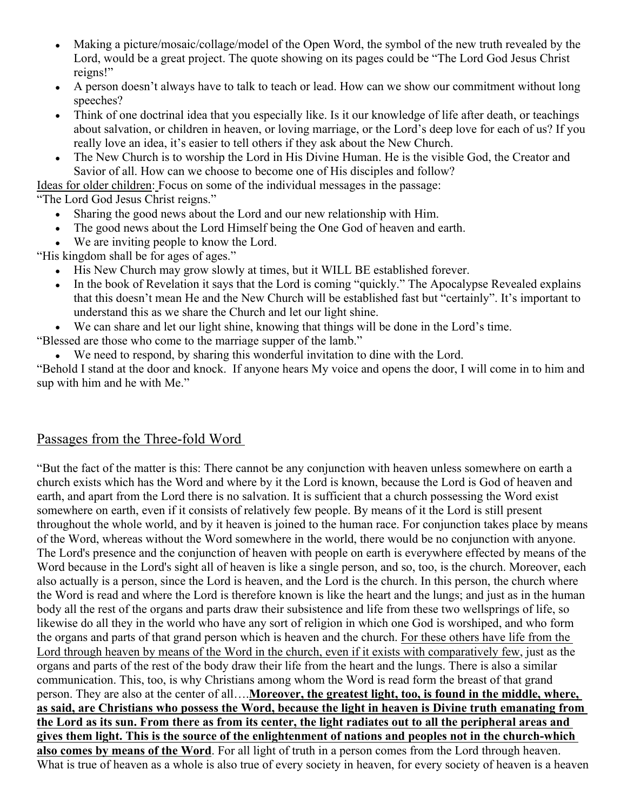- Making a picture/mosaic/collage/model of the Open Word, the symbol of the new truth revealed by the Lord, would be a great project. The quote showing on its pages could be "The Lord God Jesus Christ reigns!"
- A person doesn't always have to talk to teach or lead. How can we show our commitment without long speeches?
- Think of one doctrinal idea that you especially like. Is it our knowledge of life after death, or teachings about salvation, or children in heaven, or loving marriage, or the Lord's deep love for each of us? If you really love an idea, it's easier to tell others if they ask about the New Church.
- The New Church is to worship the Lord in His Divine Human. He is the visible God, the Creator and Savior of all. How can we choose to become one of His disciples and follow?

Ideas for older children: Focus on some of the individual messages in the passage:

"The Lord God Jesus Christ reigns."

- Sharing the good news about the Lord and our new relationship with Him.
- The good news about the Lord Himself being the One God of heaven and earth.
- We are inviting people to know the Lord.

"His kingdom shall be for ages of ages."

- His New Church may grow slowly at times, but it WILL BE established forever.
- In the book of Revelation it says that the Lord is coming "quickly." The Apocalypse Revealed explains that this doesn't mean He and the New Church will be established fast but "certainly". It's important to understand this as we share the Church and let our light shine.
- We can share and let our light shine, knowing that things will be done in the Lord's time.

"Blessed are those who come to the marriage supper of the lamb."

We need to respond, by sharing this wonderful invitation to dine with the Lord.

"Behold I stand at the door and knock. If anyone hears My voice and opens the door, I will come in to him and sup with him and he with Me."

## Passages from the Three-fold Word

"But the fact of the matter is this: There cannot be any conjunction with heaven unless somewhere on earth a church exists which has the Word and where by it the Lord is known, because the Lord is God of heaven and earth, and apart from the Lord there is no salvation. It is sufficient that a church possessing the Word exist somewhere on earth, even if it consists of relatively few people. By means of it the Lord is still present throughout the whole world, and by it heaven is joined to the human race. For conjunction takes place by means of the Word, whereas without the Word somewhere in the world, there would be no conjunction with anyone. The Lord's presence and the conjunction of heaven with people on earth is everywhere effected by means of the Word because in the Lord's sight all of heaven is like a single person, and so, too, is the church. Moreover, each also actually is a person, since the Lord is heaven, and the Lord is the church. In this person, the church where the Word is read and where the Lord is therefore known is like the heart and the lungs; and just as in the human body all the rest of the organs and parts draw their subsistence and life from these two wellsprings of life, so likewise do all they in the world who have any sort of religion in which one God is worshiped, and who form the organs and parts of that grand person which is heaven and the church. For these others have life from the Lord through heaven by means of the Word in the church, even if it exists with comparatively few, just as the organs and parts of the rest of the body draw their life from the heart and the lungs. There is also a similar communication. This, too, is why Christians among whom the Word is read form the breast of that grand person. They are also at the center of all….**Moreover, the greatest light, too, is found in the middle, where, as said, are Christians who possess the Word, because the light in heaven is Divine truth emanating from the Lord as its sun. From there as from its center, the light radiates out to all the peripheral areas and gives them light. This is the source of the enlightenment of nations and peoples not in the church-which also comes by means of the Word**. For all light of truth in a person comes from the Lord through heaven. What is true of heaven as a whole is also true of every society in heaven, for every society of heaven is a heaven